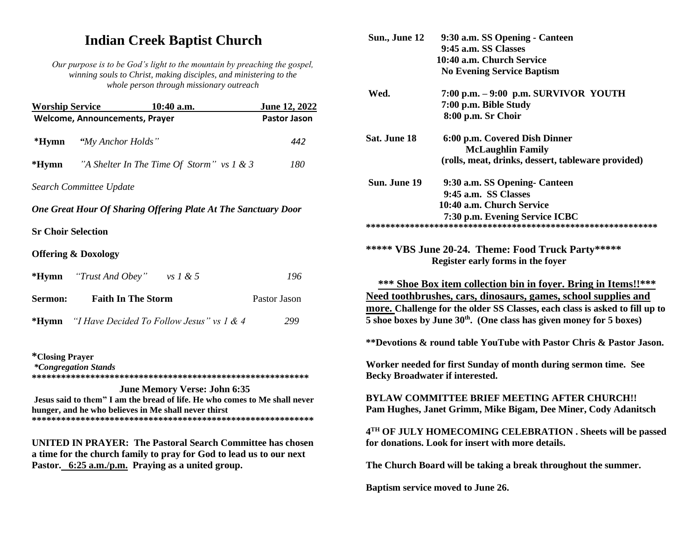# **Indian Creek Baptist Church**

*Our purpose is to be God's light to the mountain by preaching the gospel, winning souls to Christ, making disciples, and ministering to the whole person through missionary outreach*

| <b>Worship Service</b>    | $10:40$ a.m.                                                                                                                       |                                     | June 12, 2022       |
|---------------------------|------------------------------------------------------------------------------------------------------------------------------------|-------------------------------------|---------------------|
|                           | <b>Welcome, Announcements, Prayer</b>                                                                                              |                                     | <b>Pastor Jason</b> |
| *Hymn                     | "My Anchor Holds"                                                                                                                  |                                     | 442                 |
|                           | <b>*Hymn</b> "A Shelter In The Time Of Storm" vs 1 & 3                                                                             |                                     | 180                 |
|                           | Search Committee Update                                                                                                            |                                     |                     |
|                           | One Great Hour Of Sharing Offering Plate At The Sanctuary Door                                                                     |                                     |                     |
| <b>Sr Choir Selection</b> |                                                                                                                                    |                                     |                     |
|                           | <b>Offering &amp; Doxology</b>                                                                                                     |                                     |                     |
|                           | *Hymn "Trust And Obey" vs $1 \& 5$                                                                                                 |                                     | 196                 |
| Sermon:                   | <b>Faith In The Storm</b>                                                                                                          |                                     | Pastor Jason        |
|                           | <b>*Hymn</b> "I Have Decided To Follow Jesus" vs 1 & 4                                                                             |                                     | 299                 |
| <i>*Closing Prayer</i>    | <i>*Congregation Stands</i>                                                                                                        |                                     |                     |
|                           | Jesus said to them" I am the bread of life. He who comes to Me shall never<br>hunger, and he who believes in Me shall never thirst | <b>June Memory Verse: John 6:35</b> |                     |

**UNITED IN PRAYER: The Pastoral Search Committee has chosen a time for the church family to pray for God to lead us to our next Pastor. 6:25 a.m./p.m. Praying as a united group.**

**\*\*\*\*\*\*\*\*\*\*\*\*\*\*\*\*\*\*\*\*\*\*\*\*\*\*\*\*\*\*\*\*\*\*\*\*\*\*\*\*\*\*\*\*\*\*\*\*\*\*\*\*\*\*\*\*\*\***

| Sun., June 12                                                                                                                                                                                                                                                                                                                                                          | 9:30 a.m. SS Opening - Canteen<br>9:45 a.m. SS Classes<br>10:40 a.m. Church Service<br><b>No Evening Service Baptism</b> |  |  |  |
|------------------------------------------------------------------------------------------------------------------------------------------------------------------------------------------------------------------------------------------------------------------------------------------------------------------------------------------------------------------------|--------------------------------------------------------------------------------------------------------------------------|--|--|--|
| Wed.                                                                                                                                                                                                                                                                                                                                                                   | $7:00$ p.m. $-9:00$ p.m. SURVIVOR YOUTH<br>7:00 p.m. Bible Study<br>8:00 p.m. Sr Choir                                   |  |  |  |
| Sat. June 18                                                                                                                                                                                                                                                                                                                                                           | 6:00 p.m. Covered Dish Dinner<br><b>McLaughlin Family</b><br>(rolls, meat, drinks, dessert, tableware provided)          |  |  |  |
| Sun. June 19                                                                                                                                                                                                                                                                                                                                                           | 9:30 a.m. SS Opening- Canteen<br>9:45 a.m. SS Classes<br>10:40 a.m. Church Service<br>7:30 p.m. Evening Service ICBC     |  |  |  |
|                                                                                                                                                                                                                                                                                                                                                                        | ***** VBS June 20-24. Theme: Food Truck Party*****<br>Register early forms in the foyer                                  |  |  |  |
| <b>*** Shoe Box item collection bin in foyer. Bring in Items!!***</b><br>Need toothbrushes, cars, dinosaurs, games, school supplies and<br>more. Challenge for the older SS Classes, each class is asked to fill up to<br>5 shoe boxes by June $30th$ . (One class has given money for 5 boxes)<br>**Devotions & round table YouTube with Pastor Chris & Pastor Jason. |                                                                                                                          |  |  |  |
| Worker needed for first Sunday of month during sermon time. See<br><b>Becky Broadwater if interested.</b>                                                                                                                                                                                                                                                              |                                                                                                                          |  |  |  |
|                                                                                                                                                                                                                                                                                                                                                                        | <b>BYLAW COMMITTEE BRIEF MEETING AFTER CHURCH!!</b><br>Pam Hughes, Janet Grimm, Mike Bigam, Dee Miner, Cody Adanitsch    |  |  |  |
|                                                                                                                                                                                                                                                                                                                                                                        | 4TH OF JULY HOMECOMING CELEBRATION . Sheets will be passed<br>for donations. Look for insert with more details.          |  |  |  |
| The Church Board will be taking a break throughout the summer.<br>Baptism service moved to June 26.                                                                                                                                                                                                                                                                    |                                                                                                                          |  |  |  |
|                                                                                                                                                                                                                                                                                                                                                                        |                                                                                                                          |  |  |  |